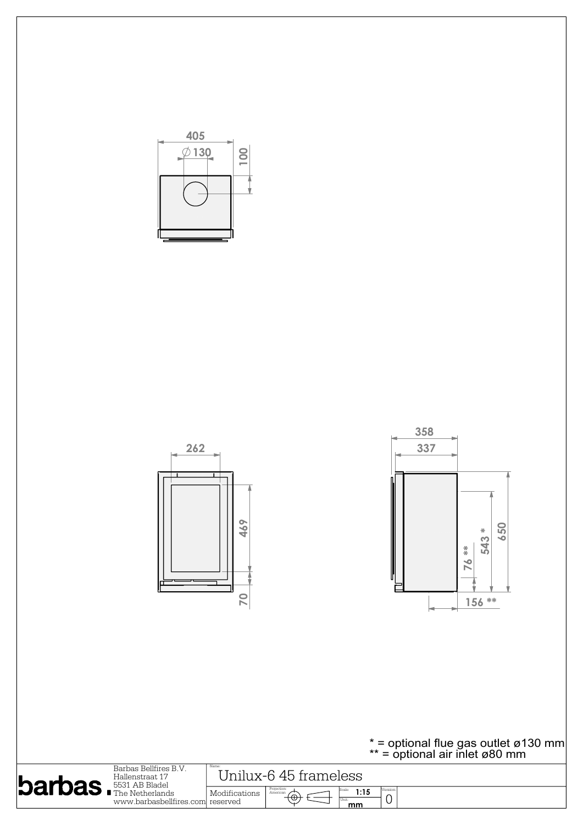

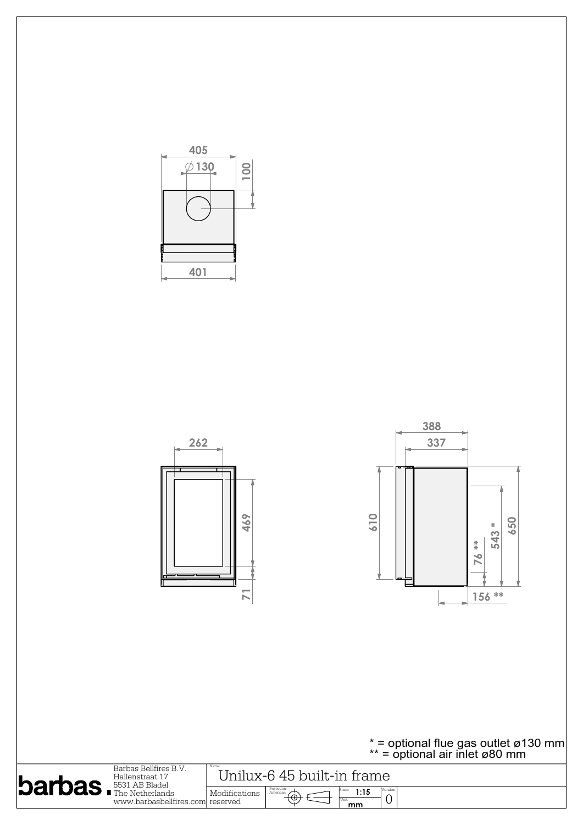

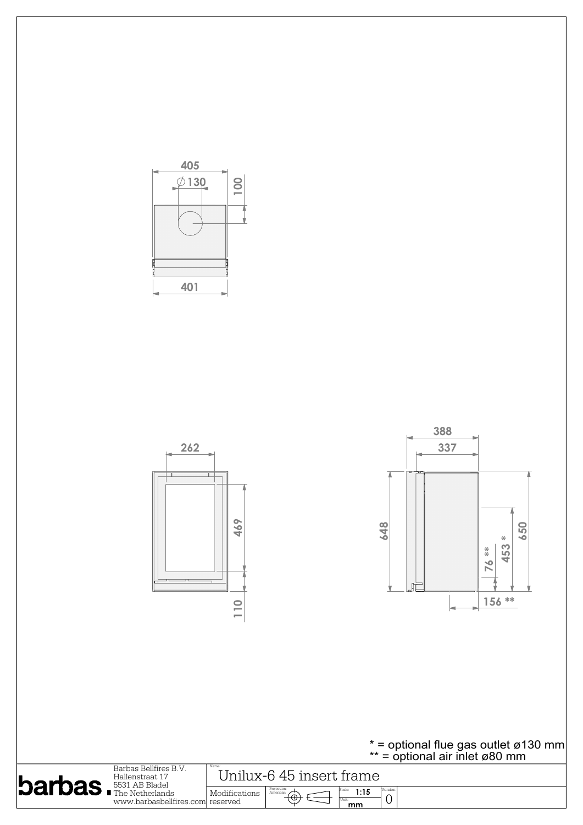

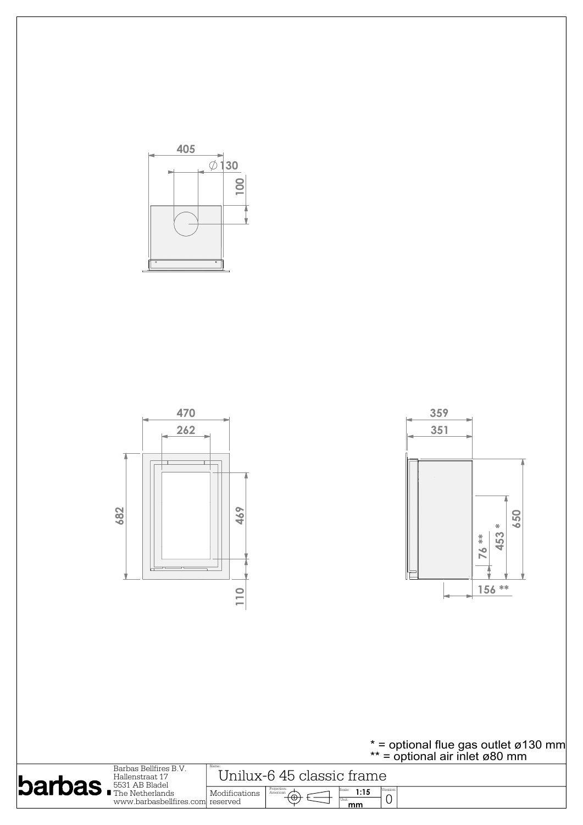